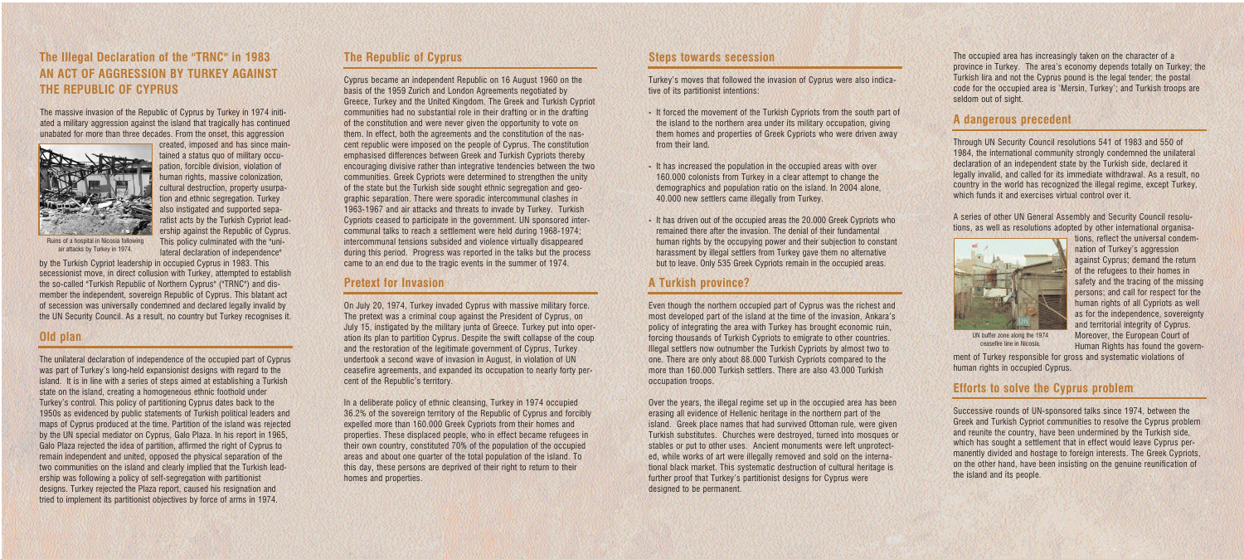# **The Republic of Cyprus**

Cyprus became an independent Republic on 16 August 1960 on the basis of the 1959 Zurich and London Agreements negotiated by Greece, Turkey and the United Kingdom. The Greek and Turkish Cypriot communities had no substantial role in their drafting or in the drafting of the constitution and were never given the opportunity to vote on them. In effect, both the agreements and the constitution of the nascent republic were imposed on the people of Cyprus. The constitution emphasised differences between Greek and Turkish Cypriots thereby encouraging divisive rather than integrative tendencies between the two communities. Greek Cypriots were determined to strengthen the unity of the state but the Turkish side sought ethnic segregation and geographic separation. There were sporadic intercommunal clashes in 1963-1967 and air attacks and threats to invade by Turkey. Turkish Cypriots ceased to participate in the government. UN sponsored intercommunal talks to reach a settlement were held during 1968-1974; intercommunal tensions subsided and violence virtually disappeared during this period. Progress was reported in the talks but the process came to an end due to the tragic events in the summer of 1974.

# **Pretext for Invasion**

On July 20, 1974, Turkey invaded Cyprus with massive military force. The pretext was a criminal coup against the President of Cyprus, on July 15, instigated by the military junta of Greece. Turkey put into operation its plan to partition Cyprus. Despite the swift collapse of the coup and the restoration of the legitimate government of Cyprus, Turkey undertook a second wave of invasion in August, in violation of UN ceasefire agreements, and expanded its occupation to nearly forty percent of the Republic's territory.

In a deliberate policy of ethnic cleansing, Turkey in 1974 occupied 36.2% of the sovereign territory of the Republic of Cyprus and forcibly expelled more than 160.000 Greek Cypriots from their homes and properties. These displaced people, who in effect became refugees in their own country, constituted 70% of the population of the occupied areas and about one quarter of the total population of the island. To this day, these persons are deprived of their right to return to their homes and properties.

# **Steps towards secession**

Turkey's moves that followed the invasion of Cyprus were also indicative of its partitionist intentions:

- **-** It forced the movement of the Turkish Cypriots from the south part of the island to the northern area under its military occupation, giving them homes and properties of Greek Cypriots who were driven away from their land.
- **-** It has increased the population in the occupied areas with over 160.000 colonists from Turkey in a clear attempt to change the demographics and population ratio on the island. In 2004 alone, 40.000 new settlers came illegally from Turkey.
- **-** It has driven out of the occupied areas the 20.000 Greek Cypriots who remained there after the invasion. The denial of their fundamental human rights by the occupying power and their subjection to constant harassment by illegal settlers from Turkey gave them no alternative but to leave. Only 535 Greek Cypriots remain in the occupied areas.

# **A Turkish province?**

Even though the northern occupied part of Cyprus was the richest and most developed part of the island at the time of the invasion, Ankara's policy of integrating the area with Turkey has brought economic ruin, forcing thousands of Turkish Cypriots to emigrate to other countries. Illegal settlers now outnumber the Turkish Cypriots by almost two to one. There are only about 88.000 Turkish Cypriots compared to the more than 160.000 Turkish settlers. There are also 43.000 Turkish occupation troops.

Over the years, the illegal regime set up in the occupied area has been erasing all evidence of Hellenic heritage in the northern part of the island. Greek place names that had survived Ottoman rule, were given Turkish substitutes. Churches were destroyed, turned into mosques or stables or put to other uses. Ancient monuments were left unprotected, while works of art were illegally removed and sold on the international black market. This systematic destruction of cultural heritage is further proof that Turkey's partitionist designs for Cyprus were designed to be permanent.

The occupied area has increasingly taken on the character of a province in Turkey. The area's economy depends totally on Turkey; the Turkish lira and not the Cyprus pound is the legal tender; the postal code for the occupied area is 'Mersin, Turkey'; and Turkish troops are seldom out of sight.

#### **A dangerous precedent**

Through UN Security Council resolutions 541 of 1983 and 550 of 1984, the international community strongly condemned the unilateral declaration of an independent state by the Turkish side, declared it legally invalid, and called for its immediate withdrawal. As a result, no country in the world has recognized the illegal regime, except Turkey, which funds it and exercises virtual control over it.

A series of other UN General Assembly and Security Council resolutions, as well as resolutions adopted by other international organisa-



tions, reflect the universal condemnation of Turkey's aggression against Cyprus; demand the return of the refugees to their homes in safety and the tracing of the missing persons; and call for respect for the human rights of all Cypriots as well as for the independence, sovereignty and territorial integrity of Cyprus. Moreover, the European Court of Human Rights has found the govern-

ment of Turkey responsible for gross and systematic violations of human rights in occupied Cyprus.

#### **Efforts to solve the Cyprus problem**

Successive rounds of UN-sponsored talks since 1974, between the Greek and Turkish Cypriot communities to resolve the Cyprus problem and reunite the country, have been undermined by the Turkish side, which has sought a settlement that in effect would leave Cyprus permanently divided and hostage to foreign interests. The Greek Cypriots, on the other hand, have been insisting on the genuine reunification of the island and its people.

# **The Illegal Declaration of the "TRNC" in 1983 AN ACT OF AGGRESSION BY TURKEY AGAINST THE REPUBLIC OF CYPRUS**

The massive invasion of the Republic of Cyprus by Turkey in 1974 initiated a military aggression against the island that tragically has continued unabated for more than three decades. From the onset, this aggression



created, imposed and has since maintained a status quo of military occupation, forcible division, violation of human rights, massive colonization, cultural destruction, property usurpation and ethnic segregation. Turkey also instigated and supported separatist acts by the Turkish Cypriot leadership against the Republic of Cyprus. This policy culminated with the "unilateral declaration of independence"

by the Turkish Cypriot leadership in occupied Cyprus in 1983. This secessionist move, in direct collusion with Turkey, attempted to establish the so-called "Turkish Republic of Northern Cyprus" ("TRNC") and dismember the independent, sovereign Republic of Cyprus. This blatant act of secession was universally condemned and declared legally invalid by the UN Security Council. As a result, no country but Turkey recognises it.

#### **Old plan**

The unilateral declaration of independence of the occupied part of Cyprus was part of Turkey's long-held expansionist designs with regard to the island. It is in line with a series of steps aimed at establishing a Turkish state on the island, creating a homogeneous ethnic foothold under Turkey's control. This policy of partitioning Cyprus dates back to the 1950s as evidenced by public statements of Turkish political leaders and maps of Cyprus produced at the time. Partition of the island was rejected by the UN special mediator on Cyprus, Galo Plaza. In his report in 1965, Galo Plaza rejected the idea of partition, affirmed the right of Cyprus to remain independent and united, opposed the physical separation of the two communities on the island and clearly implied that the Turkish leadership was following a policy of self-segregation with partitionist designs. Turkey rejected the Plaza report, caused his resignation and tried to implement its partitionist objectives by force of arms in 1974.

Ruins of a hospital in Nicosia following air attacks by Turkey in 1974.

UN buffer zone along the 1974 ceasefire line in Nicosia.